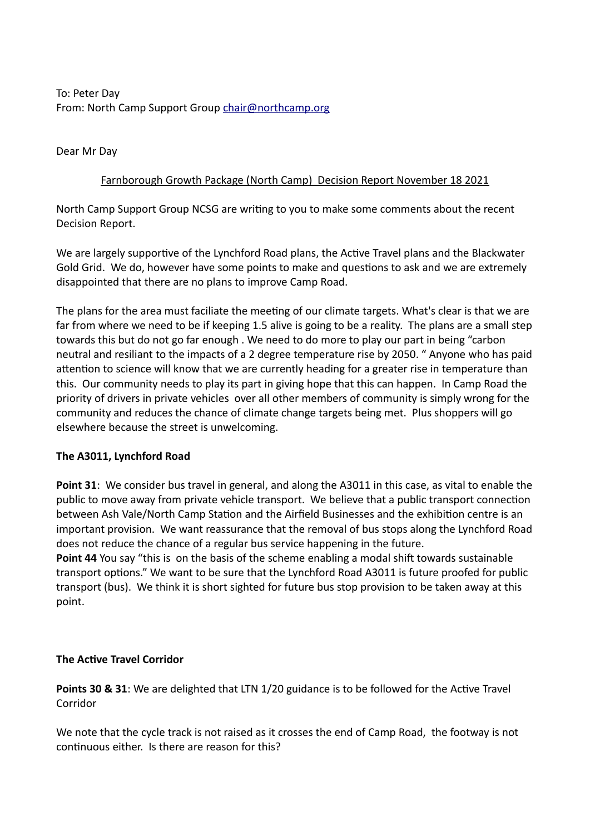To: Peter Day From: North Camp Support Group [chair@northcamp.org](mailto:chair@northcamp.org)

Dear Mr Day

## Farnborough Growth Package (North Camp) Decision Report November 18 2021

North Camp Support Group NCSG are writing to you to make some comments about the recent Decision Report.

We are largely supportive of the Lynchford Road plans, the Active Travel plans and the Blackwater Gold Grid. We do, however have some points to make and questions to ask and we are extremely disappointed that there are no plans to improve Camp Road.

The plans for the area must faciliate the meeting of our climate targets. What's clear is that we are far from where we need to be if keeping 1.5 alive is going to be a reality. The plans are a small step towards this but do not go far enough . We need to do more to play our part in being "carbon neutral and resiliant to the impacts of a 2 degree temperature rise by 2050. " Anyone who has paid attention to science will know that we are currently heading for a greater rise in temperature than this. Our community needs to play its part in giving hope that this can happen. In Camp Road the priority of drivers in private vehicles over all other members of community is simply wrong for the community and reduces the chance of climate change targets being met. Plus shoppers will go elsewhere because the street is unwelcoming.

### **The A3011, Lynchford Road**

**Point 31**: We consider bus travel in general, and along the A3011 in this case, as vital to enable the public to move away from private vehicle transport. We believe that a public transport connection between Ash Vale/North Camp Station and the Airfield Businesses and the exhibition centre is an important provision. We want reassurance that the removal of bus stops along the Lynchford Road does not reduce the chance of a regular bus service happening in the future.

**Point 44** You say "this is on the basis of the scheme enabling a modal shift towards sustainable transport options." We want to be sure that the Lynchford Road A3011 is future proofed for public transport (bus). We think it is short sighted for future bus stop provision to be taken away at this point.

### **The Active Travel Corridor**

**Points 30 & 31**: We are delighted that LTN 1/20 guidance is to be followed for the Active Travel Corridor

We note that the cycle track is not raised as it crosses the end of Camp Road, the footway is not continuous either. Is there are reason for this?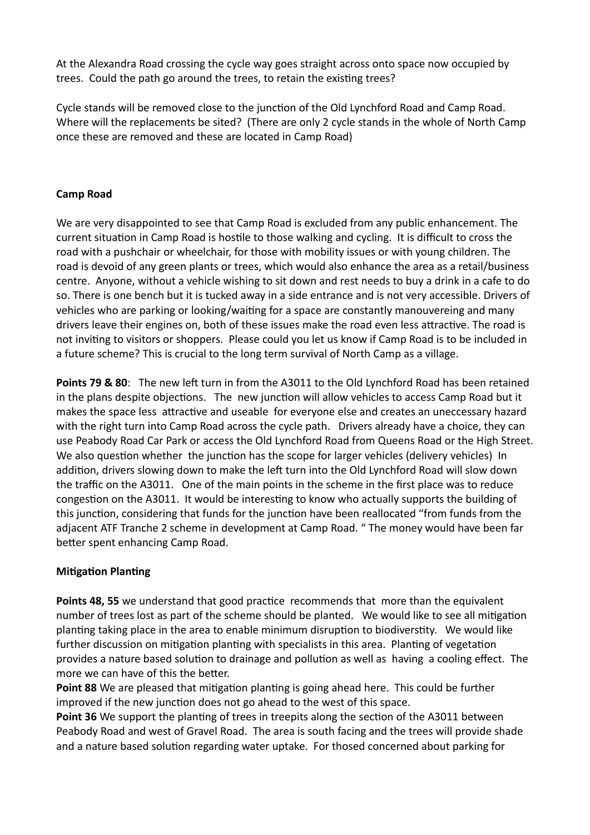At the Alexandra Road crossing the cycle way goes straight across onto space now occupied by trees. Could the path go around the trees, to retain the existing trees?

Cycle stands will be removed close to the junction of the Old Lynchford Road and Camp Road. Where will the replacements be sited? (There are only 2 cycle stands in the whole of North Camp once these are removed and these are located in Camp Road)

## **Camp Road**

We are very disappointed to see that Camp Road is excluded from any public enhancement. The current situation in Camp Road is hostile to those walking and cycling. It is difficult to cross the road with a pushchair or wheelchair, for those with mobility issues or with young children. The road is devoid of any green plants or trees, which would also enhance the area as a retail/business centre. Anyone, without a vehicle wishing to sit down and rest needs to buy a drink in a cafe to do so. There is one bench but it is tucked away in a side entrance and is not very accessible. Drivers of vehicles who are parking or looking/waiting for a space are constantly manouvereing and many drivers leave their engines on, both of these issues make the road even less attractive. The road is not inviting to visitors or shoppers. Please could you let us know if Camp Road is to be included in a future scheme? This is crucial to the long term survival of North Camp as a village.

**Points 79 & 80**: The new left turn in from the A3011 to the Old Lynchford Road has been retained in the plans despite objections. The new junction will allow vehicles to access Camp Road but it makes the space less attractive and useable for everyone else and creates an uneccessary hazard with the right turn into Camp Road across the cycle path. Drivers already have a choice, they can use Peabody Road Car Park or access the Old Lynchford Road from Queens Road or the High Street. We also question whether the junction has the scope for larger vehicles (delivery vehicles) In addition, drivers slowing down to make the left turn into the Old Lynchford Road will slow down the traffic on the A3011. One of the main points in the scheme in the first place was to reduce congestion on the A3011. It would be interesting to know who actually supports the building of this junction, considering that funds for the junction have been reallocated "from funds from the adjacent ATF Tranche 2 scheme in development at Camp Road. " The money would have been far better spent enhancing Camp Road.

# **Mitigation Planting**

**Points 48, 55** we understand that good practice recommends that more than the equivalent number of trees lost as part of the scheme should be planted. We would like to see all mitigation planting taking place in the area to enable minimum disruption to biodiverstity. We would like further discussion on mitigation planting with specialists in this area. Planting of vegetation provides a nature based solution to drainage and pollution as well as having a cooling effect. The more we can have of this the better.

**Point 88** We are pleased that mitigation planting is going ahead here. This could be further improved if the new junction does not go ahead to the west of this space.

**Point 36** We support the planting of trees in treepits along the section of the A3011 between Peabody Road and west of Gravel Road. The area is south facing and the trees will provide shade and a nature based solution regarding water uptake. For thosed concerned about parking for